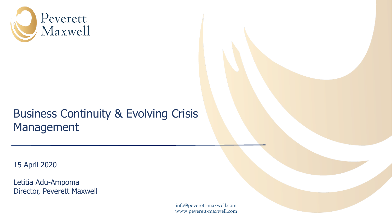

## Business Continuity & Evolving Crisis Management

15 April 2020

Letitia Adu-Ampoma Director, Peverett Maxwell

> info@peverett-maxwell.com www.peverett-maxwell.com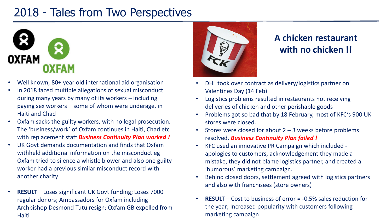## 2018 - Tales from Two Perspectives



- Well known, 80+ year old international aid organisation
- In 2018 faced multiple allegations of sexual misconduct during many years by many of its workers – including paying sex workers – some of whom were underage, in Haiti and Chad
- Oxfam sacks the guilty workers, with no legal prosecution. The 'business/work' of Oxfam continues in Haiti, Chad etc with replacement staff *Business Continuity Plan worked !*
- UK Govt demands documentation and finds that Oxfam withheld additional information on the misconduct eg Oxfam tried to silence a whistle blower and also one guilty worker had a previous similar misconduct record with another charity
- **RESULT** Loses significant UK Govt funding; Loses 7000 regular donors; Ambassadors for Oxfam including Archbishop Desmond Tutu resign; Oxfam GB expelled from **Haiti**



#### **A chicken restaurant with no chicken !!**

- DHL took over contract as delivery/logistics partner on Valentines Day (14 Feb)
- Logistics problems resulted in restaurants not receiving deliveries of chicken and other perishable goods
- Problems got so bad that by 18 February, most of KFC's 900 UK stores were closed.
- Stores were closed for about  $2 3$  weeks before problems resolved. *Business Continuity Plan failed !*
- KFC used an innovative PR Campaign which included apologies to customers, acknowledgement they made a mistake, they did not blame logistics partner, and created a 'humorous' marketing campaign.
- Behind closed doors, settlement agreed with logistics partners and also with franchisees (store owners)
- **RESULT** Cost to business of error = -0.5% sales reduction for the year; Increased popularity with customers following marketing campaign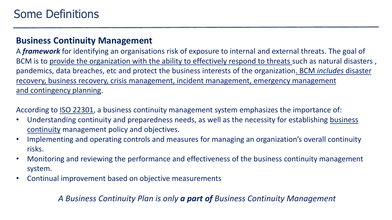#### **Business Continuity Management**

A *framework* for identifying an organisations risk of exposure to internal and external threats. The goal of BCM is to provide the organization with the ability to effectively respond to threats such as natural disasters, pandemics, data breaches, etc and protect the business interests of the organization. BCM *includes* disaster recovery, business recovery, crisis management, incident management, emergency management and contingency planning.

According to [ISO 22301](http://searchdisasterrecovery.techtarget.com/definition/ISO-22301-International-Organization-of-Standardization-standard-22301), a business continuity management system emphasizes the importance of:

- [Understanding continuity and preparedness needs, as well as the necessity for establishing](http://searchstorage.techtarget.com/definition/business-continuance) business continuity management policy and objectives.
- Implementing and operating controls and measures for managing an organization's overall continuity risks.
- Monitoring and reviewing the performance and effectiveness of the business continuity management system.
- Continual improvement based on objective measurements

#### *A Business Continuity Plan is only a part of Business Continuity Management*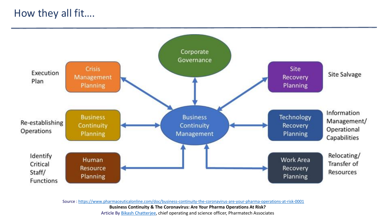#### How they all fit….



Source : <https://www.pharmaceuticalonline.com/doc/business-continuity-the-coronavirus-are-your-pharma-operations-at-risk-0001>

**Business Continuity & The Coronavirus: Are Your Pharma Operations At Risk?**

Article By [Bikash Chatterjee](https://www.pharmaceuticalonline.com/author/bikash-chatterjee), chief operating and science officer, Pharmatech Associates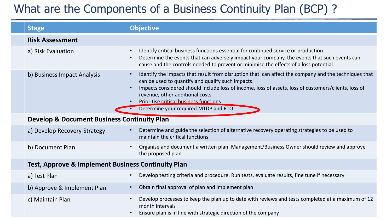## What are the Components of a Business Continuity Plan (BCP) ?

| <b>Stage</b>                                                  | <b>Objective</b>                                                                                                                                                                                                                                                                                                                                                                                                |  |
|---------------------------------------------------------------|-----------------------------------------------------------------------------------------------------------------------------------------------------------------------------------------------------------------------------------------------------------------------------------------------------------------------------------------------------------------------------------------------------------------|--|
| <b>Risk Assessment</b>                                        |                                                                                                                                                                                                                                                                                                                                                                                                                 |  |
| a) Risk Evaluation                                            | Identify critical business functions essential for continued service or production<br>$\bullet$<br>Determine the events that can adversely impact your company, the events that such events can<br>$\bullet$<br>cause and the controls needed to prevent or minimise the effects of a loss potential                                                                                                            |  |
| b) Business Impact Analysis                                   | Identify the impacts that result from disruption that can affect the company and the techniques that<br>$\bullet$<br>can be used to quantify and qualify such impacts<br>Impacts considered should include loss of income, loss of assets, loss of customers/clients, loss of<br>$\bullet$<br>revenue, other additional costs<br>Prioritise critical business functions<br>Determine your required MTDP and RTO |  |
| <b>Develop &amp; Document Business Continuity Plan</b>        |                                                                                                                                                                                                                                                                                                                                                                                                                 |  |
| a) Develop Recovery Strategy                                  | Determine and guide the selection of alternative recovery operating strategies to be used to<br>$\bullet$<br>maintain the critical functions                                                                                                                                                                                                                                                                    |  |
| b) Document Plan                                              | Organise and document a written plan. Management/Business Owner should review and approve<br>$\bullet$<br>the proposed plan                                                                                                                                                                                                                                                                                     |  |
| <b>Test, Approve &amp; Implement Business Continuity Plan</b> |                                                                                                                                                                                                                                                                                                                                                                                                                 |  |
| a) Test Plan                                                  | Develop testing criteria and procedure. Run tests, evaluate results, fine tune if necessary<br>$\bullet$                                                                                                                                                                                                                                                                                                        |  |
| b) Approve & Implement Plan                                   | Obtain final approval of plan and implement plan<br>$\bullet$                                                                                                                                                                                                                                                                                                                                                   |  |
| c) Maintain Plan                                              | Develop processes to keep the plan up to date with reviews and tests completed at a maximum of 12<br>$\bullet$<br>month intervals<br>Ensure plan is in line with strategic direction of the company                                                                                                                                                                                                             |  |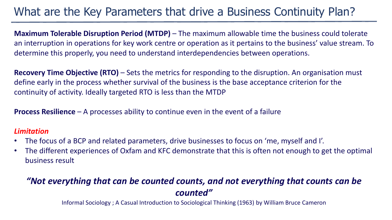### What are the Key Parameters that drive a Business Continuity Plan?

**Maximum Tolerable Disruption Period (MTDP)** – The maximum allowable time the business could tolerate an interruption in operations for key work centre or operation as it pertains to the business' value stream. To determine this properly, you need to understand interdependencies between operations.

**Recovery Time Objective (RTO)** – Sets the metrics for responding to the disruption. An organisation must define early in the process whether survival of the business is the base acceptance criterion for the continuity of activity. Ideally targeted RTO is less than the MTDP

**Process Resilience** – A processes ability to continue even in the event of a failure

#### *Limitation*

- The focus of a BCP and related parameters, drive businesses to focus on 'me, myself and I'.
- The different experiences of Oxfam and KFC demonstrate that this is often not enough to get the optimal business result

#### *"Not everything that can be counted counts, and not everything that counts can be counted"*

Informal Sociology ; A Casual Introduction to Sociological Thinking (1963) by William Bruce Cameron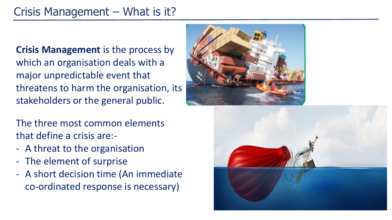## Crisis Management – What is it?

**Crisis Management** is the process by which an organisation deals with a major unpredictable event that threatens to harm the organisation, its stakeholders or the general public.

The three most common elements that define a crisis are:-

- A threat to the organisation
- The element of surprise
- A short decision time (An immediate co-ordinated response is necessary)



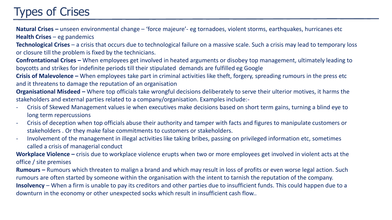## Types of Crises

**Natural Crises –** unseen environmental change – 'force majeure'- eg tornadoes, violent storms, earthquakes, hurricanes etc **Health Crises** – eg pandemics

**Technological Crises** – a crisis that occurs due to technological failure on a massive scale. Such a crisis may lead to temporary loss or closure till the problem is fixed by the technicians.

**Confrontational Crises –** When employees get involved in heated arguments or disobey top management, ultimately leading to boycotts and strikes for indefinite periods till their stipulated demands are fulfilled eg Google

**Crisis of Malevolence –** When employees take part in criminal activities like theft, forgery, spreading rumours in the press etc and it threatens to damage the reputation of an organisation

**Organisational Misdeed –** Where top officials take wrongful decisions deliberately to serve their ulterior motives, it harms the stakeholders and external parties related to a company/organisation. Examples include:-

- Crisis of Skewed Management values ie when executives make decisions based on short term gains, turning a blind eye to long term repercussions
- Crisis of deception when top officials abuse their authority and tamper with facts and figures to manipulate customers or stakeholders . Or they make false commitments to customers or stakeholders.
- Involvement of the management in illegal activities like taking bribes, passing on privileged information etc, sometimes called a crisis of managerial conduct

**Workplace Violence –** crisis due to workplace violence erupts when two or more employees get involved in violent acts at the office / site premises

**Rumours –** Rumours which threaten to malign a brand and which may result in loss of profits or even worse legal action. Such rumours are often started by someone within the organisation with the intent to tarnish the reputation of the company. **Insolvency** – When a firm is unable to pay its creditors and other parties due to insufficient funds. This could happen due to a downturn in the economy or other unexpected socks which result in insufficient cash flow..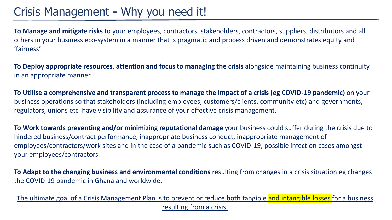**To Manage and mitigate risks** to your employees, contractors, stakeholders, contractors, suppliers, distributors and all others in your business eco-system in a manner that is pragmatic and process driven and demonstrates equity and 'fairness'

**To Deploy appropriate resources, attention and focus to managing the crisis** alongside maintaining business continuity in an appropriate manner.

**To Utilise a comprehensive and transparent process to manage the impact of a crisis (eg COVID-19 pandemic)** on your business operations so that stakeholders (including employees, customers/clients, community etc) and governments, regulators, unions etc have visibility and assurance of your effective crisis management.

**To Work towards preventing and/or minimizing reputational damage** your business could suffer during the crisis due to hindered business/contract performance, inappropriate business conduct, inappropriate management of employees/contractors/work sites and in the case of a pandemic such as COVID-19, possible infection cases amongst your employees/contractors.

**To Adapt to the changing business and environmental conditions** resulting from changes in a crisis situation eg changes the COVID-19 pandemic in Ghana and worldwide.

The ultimate goal of a Crisis Management Plan is to prevent or reduce both tangible and intangible losses for a business resulting from a crisis.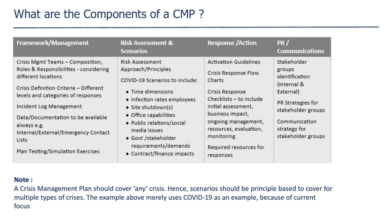### What are the Components of a CMP ?

| <b>Scenarios</b>                                                                                                                                                                                                                                                                                                                                                                                                                                                                                                                                                                                                                                                                                                                                                                                                                                                                                                                                                                                                                                                             | Framework/Management<br><b>Risk Assessment &amp;</b> | PR /<br><b>Communications</b>            |
|------------------------------------------------------------------------------------------------------------------------------------------------------------------------------------------------------------------------------------------------------------------------------------------------------------------------------------------------------------------------------------------------------------------------------------------------------------------------------------------------------------------------------------------------------------------------------------------------------------------------------------------------------------------------------------------------------------------------------------------------------------------------------------------------------------------------------------------------------------------------------------------------------------------------------------------------------------------------------------------------------------------------------------------------------------------------------|------------------------------------------------------|------------------------------------------|
| Stakeholder<br><b>Risk Assessment</b><br><b>Activation Guidelines</b><br>Crisis Mgmt Teams - Composition,<br>Roles & Responsibilities - considering<br>Approach/Principles<br>groups<br>Crisis Response Flow<br>different locations<br>identification<br>COVID-19 Scenarios to include:<br><b>Charts</b><br>(Internal &<br>Crisis Definition Criteria - Different<br>· Time dimensions<br>Crisis Response<br>External)<br>levels and categories of responses<br>Checklists - to include<br>• Infection rates employees<br>PR Strategies for<br>Incident Log Management<br>initial assessment,<br>• Site shutdown(s)<br>business impact.<br>• Office capabilities<br>Data/Documentation to be available<br>Communication<br>ongoing management,<br>· Public relations/social<br>always e.g.<br>resources, evaluation,<br>strategy for<br>media issues<br>Internal/External/Emergency Contact<br>monitoring<br>• Govt /stakeholder<br>Lists.<br>requirements/demands<br>Required resources for<br>Plan Testing/Simulation Exercises<br>• Contract/finance impacts<br>responses |                                                      | stakeholder groups<br>stakeholder groups |

#### **Note :**

A Crisis Management Plan should cover 'any' crisis. Hence, scenarios should be principle based to cover for multiple types of crises. The example above merely uses COVID-19 as an example, because of current focus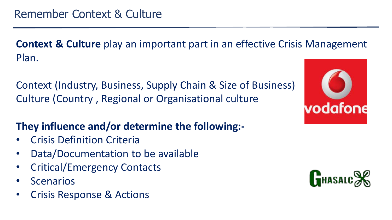**Context & Culture** play an important part in an effective Crisis Management Plan.

Context (Industry, Business, Supply Chain & Size of Business) Culture (Country , Regional or Organisational culture

#### **They influence and/or determine the following:-**

- Crisis Definition Criteria
- Data/Documentation to be available
- Critical/Emergency Contacts
- **Scenarios**
- Crisis Response & Actions



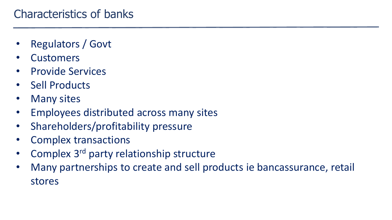- Regulators / Govt
- **Customers**
- Provide Services
- Sell Products
- **Many sites**
- Employees distributed across many sites
- Shareholders/profitability pressure
- Complex transactions
- Complex 3<sup>rd</sup> party relationship structure
- Many partnerships to create and sell products ie bancassurance, retail stores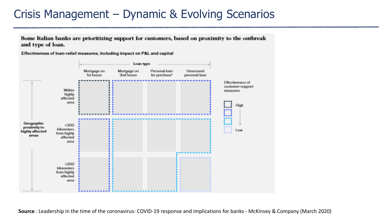#### Crisis Management – Dynamic & Evolving Scenarios

Some Italian banks are prioritizing support for customers, based on proximity to the outbreak and type of loan.

Effectiveness of loan-relief measures, including impact on P&L and capital



**Source** : Leadership in the time of the coronavirus: COVID-19 response and implications for banks - McKinsey & Company (March 2020)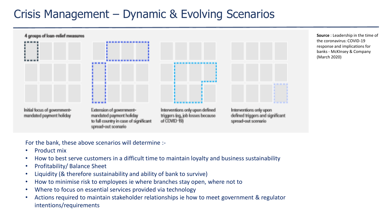#### Crisis Management – Dynamic & Evolving Scenarios



**Source** : Leadership in the time of the coronavirus: COVID-19 response and implications for banks - McKInsey & Company (March 2020)

For the bank, these above scenarios will determine :-

- Product mix
- How to best serve customers in a difficult time to maintain loyalty and business sustainability
- Profitability/ Balance Sheet
- Liquidity (& therefore sustainability and ability of bank to survive)
- How to minimise risk to employees ie where branches stay open, where not to
- Where to focus on essential services provided via technology
- Actions required to maintain stakeholder relationships ie how to meet government & regulator intentions/requirements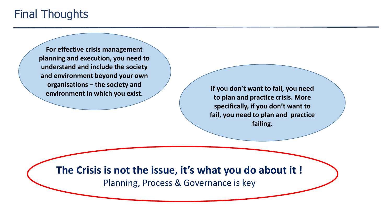#### Final Thoughts

**For effective crisis management planning and execution, you need to understand and include the society and environment beyond your own organisations – the society and environment in which you exist. If you don't want to fail, you need** 

**to plan and practice crisis. More specifically, if you don't want to fail, you need to plan and practice failing.**

**The Crisis is not the issue, it's what you do about it !**

Planning, Process & Governance is key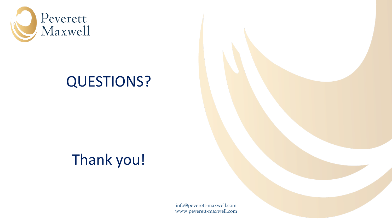

# QUESTIONS?

# Thank you!

info@peverett-maxwell.com www.peverett-maxwell.com